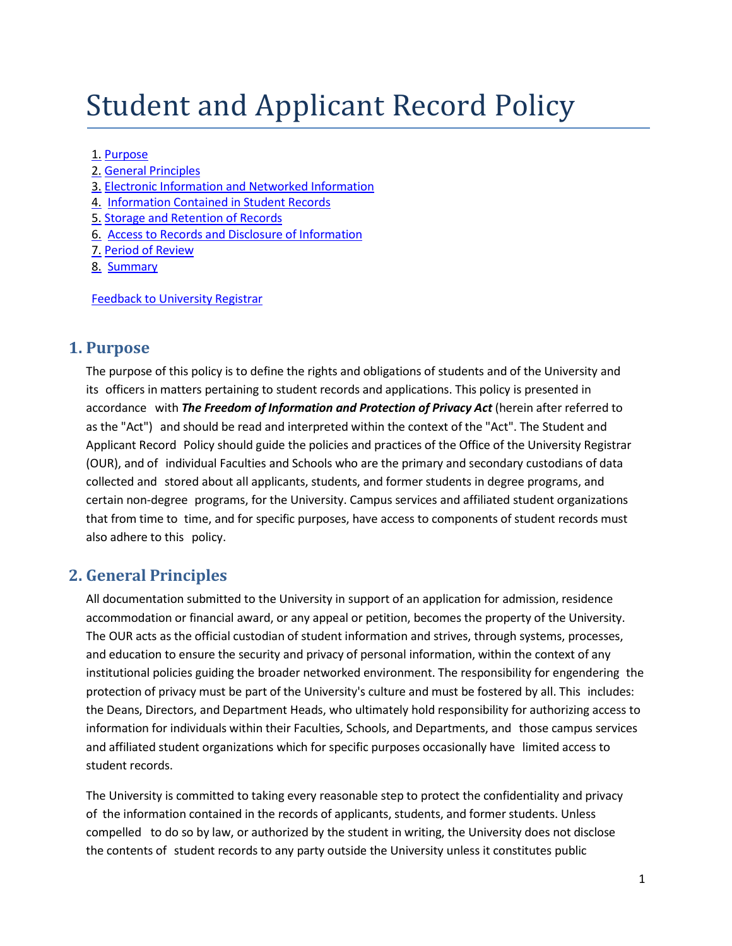# Student and Applicant Record Policy

#### 1. [Purpose](#page-0-0)

- 2. General [Principles](#page-0-1)
- 3. Electronic [Information and Networked Information](#page-1-0)
- 4. [Information Contained in](#page-2-0) Student Records
- 5. Storage [and Retention](#page-2-1) of Records
- 6. Access to [Records and](#page-3-0) Disclosure of Information
- 7. Period of [Review](#page-5-0)
- 8. [Summary](#page-5-1)

Feedback to [University](mailto:ourweb@queensu.ca) Registrar

#### <span id="page-0-0"></span>**1. Purpose**

The purpose of this policy is to define the rights and obligations of students and of the University and its officers in matters pertaining to student records and applications. This policy is presented in accordance with *The Freedom of Information and Protection of Privacy Act* (herein after referred to as the "Act") and should be read and interpreted within the context of the "Act". The Student and Applicant Record Policy should guide the policies and practices of the Office of the University Registrar (OUR), and of individual Faculties and Schools who are the primary and secondary custodians of data collected and stored about all applicants, students, and former students in degree programs, and certain non-degree programs, for the University. Campus services and affiliated student organizations that from time to time, and for specific purposes, have access to components of student records must also adhere to this policy.

## <span id="page-0-1"></span>**2. General Principles**

All documentation submitted to the University in support of an application for admission, residence accommodation or financial award, or any appeal or petition, becomes the property of the University. The OUR acts as the official custodian of student information and strives, through systems, processes, and education to ensure the security and privacy of personal information, within the context of any institutional policies guiding the broader networked environment. The responsibility for engendering the protection of privacy must be part of the University's culture and must be fostered by all. This includes: the Deans, Directors, and Department Heads, who ultimately hold responsibility for authorizing access to information for individuals within their Faculties, Schools, and Departments, and those campus services and affiliated student organizations which for specific purposes occasionally have limited access to student records.

The University is committed to taking every reasonable step to protect the confidentiality and privacy of the information contained in the records of applicants, students, and former students. Unless compelled to do so by law, or authorized by the student in writing, the University does not disclose the contents of student records to any party outside the University unless it constitutes public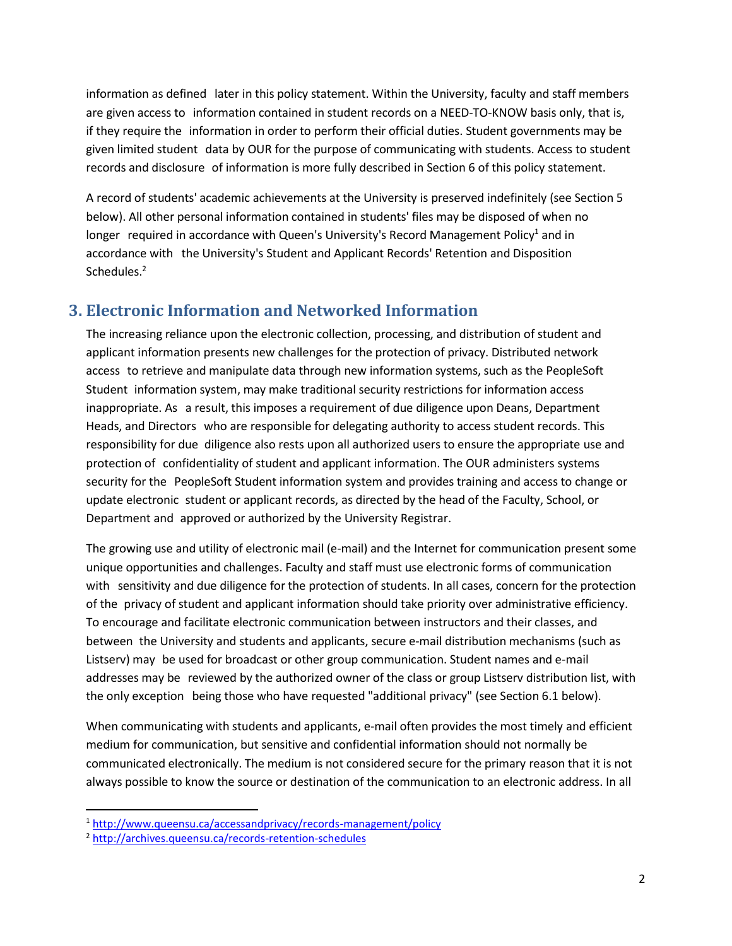information as defined later in this policy statement. Within the University, faculty and staff members are given access to information contained in student records on a NEED-TO-KNOW basis only, that is, if they require the information in order to perform their official duties. Student governments may be given limited student data by OUR for the purpose of communicating with students. Access to student records and disclosure of information is more fully described in Section 6 of this policy statement.

A record of students' academic achievements at the University is preserved indefinitely (see Section 5 below). All other personal information contained in students' files may be disposed of when no longer required in accordance with Queen's University's Record Management Policy<sup>1</sup> and in accordance with the University's Student and Applicant Records' Retention and Disposition Schedules.<sup>2</sup>

## <span id="page-1-0"></span>**3. Electronic Information and Networked Information**

The increasing reliance upon the electronic collection, processing, and distribution of student and applicant information presents new challenges for the protection of privacy. Distributed network access to retrieve and manipulate data through new information systems, such as the PeopleSoft Student information system, may make traditional security restrictions for information access inappropriate. As a result, this imposes a requirement of due diligence upon Deans, Department Heads, and Directors who are responsible for delegating authority to access student records. This responsibility for due diligence also rests upon all authorized users to ensure the appropriate use and protection of confidentiality of student and applicant information. The OUR administers systems security for the PeopleSoft Student information system and provides training and access to change or update electronic student or applicant records, as directed by the head of the Faculty, School, or Department and approved or authorized by the University Registrar.

The growing use and utility of electronic mail (e-mail) and the Internet for communication present some unique opportunities and challenges. Faculty and staff must use electronic forms of communication with sensitivity and due diligence for the protection of students. In all cases, concern for the protection of the privacy of student and applicant information should take priority over administrative efficiency. To encourage and facilitate electronic communication between instructors and their classes, and between the University and students and applicants, secure e-mail distribution mechanisms (such as Listserv) may be used for broadcast or other group communication. Student names and e-mail addresses may be reviewed by the authorized owner of the class or group Listserv distribution list, with the only exception being those who have requested "additional privacy" (see Section 6.1 below).

When communicating with students and applicants, e-mail often provides the most timely and efficient medium for communication, but sensitive and confidential information should not normally be communicated electronically. The medium is not considered secure for the primary reason that it is not always possible to know the source or destination of the communication to an electronic address. In all

 $\overline{\phantom{a}}$ 

<sup>1</sup> <http://www.queensu.ca/accessandprivacy/records-management/policy>

<sup>2</sup> <http://archives.queensu.ca/records-retention-schedules>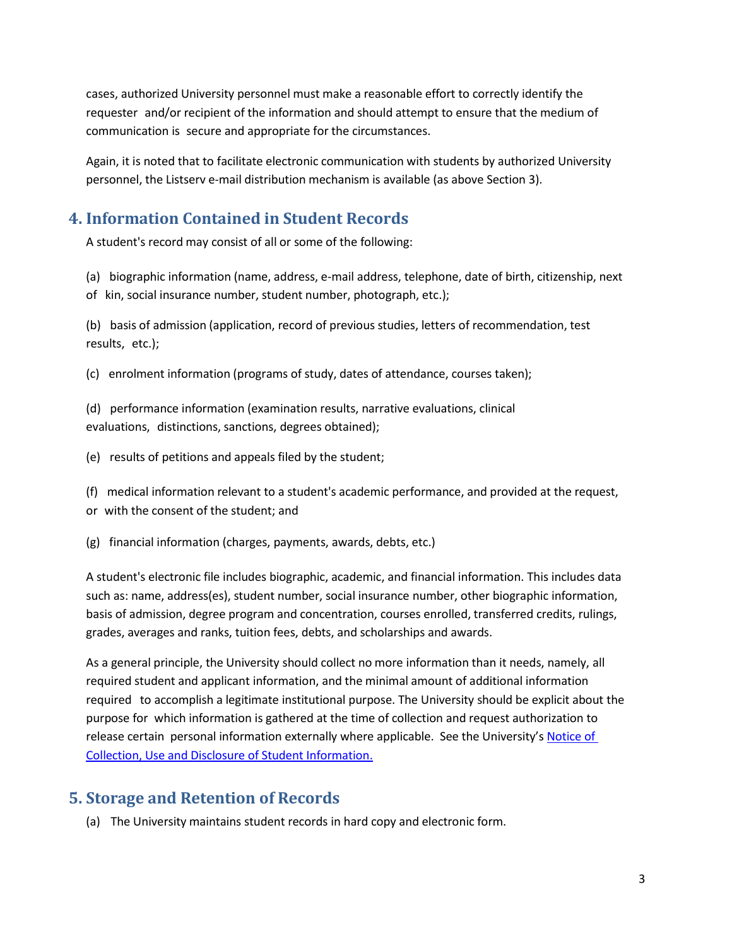cases, authorized University personnel must make a reasonable effort to correctly identify the requester and/or recipient of the information and should attempt to ensure that the medium of communication is secure and appropriate for the circumstances.

Again, it is noted that to facilitate electronic communication with students by authorized University personnel, the Listserv e-mail distribution mechanism is available (as above Section 3).

# <span id="page-2-0"></span>**4. Information Contained in Student Records**

A student's record may consist of all or some of the following:

(a) biographic information (name, address, e-mail address, telephone, date of birth, citizenship, next of kin, social insurance number, student number, photograph, etc.);

(b) basis of admission (application, record of previous studies, letters of recommendation, test results, etc.);

(c) enrolment information (programs of study, dates of attendance, courses taken);

(d) performance information (examination results, narrative evaluations, clinical evaluations, distinctions, sanctions, degrees obtained);

(e) results of petitions and appeals filed by the student;

(f) medical information relevant to a student's academic performance, and provided at the request, or with the consent of the student; and

(g) financial information (charges, payments, awards, debts, etc.)

A student's electronic file includes biographic, academic, and financial information. This includes data such as: name, address(es), student number, social insurance number, other biographic information, basis of admission, degree program and concentration, courses enrolled, transferred credits, rulings, grades, averages and ranks, tuition fees, debts, and scholarships and awards.

As a general principle, the University should collect no more information than it needs, namely, all required student and applicant information, and the minimal amount of additional information required to accomplish a legitimate institutional purpose. The University should be explicit about the purpose for which information is gathered at the time of collection and request authorization to release certain personal information externally where applicable. See the University's [Notice of](http://www.queensu.ca/accessandprivacy/privacy/notice-collection)  [Collection, Use and Disclosure of Student Information.](http://www.queensu.ca/accessandprivacy/privacy/notice-collection)

#### <span id="page-2-1"></span>**5. Storage and Retention of Records**

(a) The University maintains student records in hard copy and electronic form.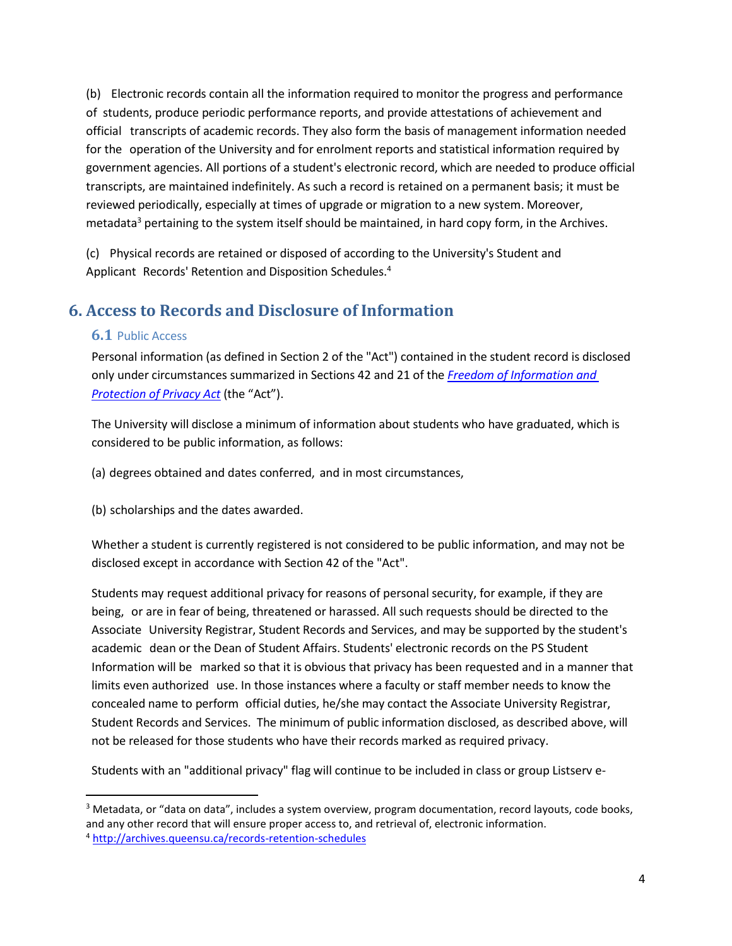(b) Electronic records contain all the information required to monitor the progress and performance of students, produce periodic performance reports, and provide attestations of achievement and official transcripts of academic records. They also form the basis of management information needed for the operation of the University and for enrolment reports and statistical information required by government agencies. All portions of a student's electronic record, which are needed to produce official transcripts, are maintained indefinitely. As such a record is retained on a permanent basis; it must be reviewed periodically, especially at times of upgrade or migration to a new system. Moreover, metadata<sup>3</sup> pertaining to the system itself should be maintained, in hard copy form, in the Archives.

(c) Physical records are retained or disposed of according to the University's Student and Applicant Records' Retention and Disposition Schedules.<sup>4</sup>

# <span id="page-3-0"></span>**6. Access to Records and Disclosure of Information**

#### **6.1** Public Access

 $\overline{a}$ 

Personal information (as defined in Section 2 of the "Act") contained in the student record is disclosed only under circumstances summarized in Sections 42 and 21 of the *[Freedom of Information](http://www.ontario.ca/laws/statute/90f31) and [Protection of Privacy Act](http://www.ontario.ca/laws/statute/90f31)* (the "Act").

The University will disclose a minimum of information about students who have graduated, which is considered to be public information, as follows:

(a) degrees obtained and dates conferred, and in most circumstances,

(b) scholarships and the dates awarded.

Whether a student is currently registered is not considered to be public information, and may not be disclosed except in accordance with Section 42 of the "Act".

Students may request additional privacy for reasons of personal security, for example, if they are being, or are in fear of being, threatened or harassed. All such requests should be directed to the Associate University Registrar, Student Records and Services, and may be supported by the student's academic dean or the Dean of Student Affairs. Students' electronic records on the PS Student Information will be marked so that it is obvious that privacy has been requested and in a manner that limits even authorized use. In those instances where a faculty or staff member needs to know the concealed name to perform official duties, he/she may contact the Associate University Registrar, Student Records and Services. The minimum of public information disclosed, as described above, will not be released for those students who have their records marked as required privacy.

Students with an "additional privacy" flag will continue to be included in class or group Listserv e-

<sup>3</sup> Metadata, or "data on data", includes a system overview, program documentation, record layouts, code books, and any other record that will ensure proper access to, and retrieval of, electronic information. <sup>4</sup> <http://archives.queensu.ca/records-retention-schedules>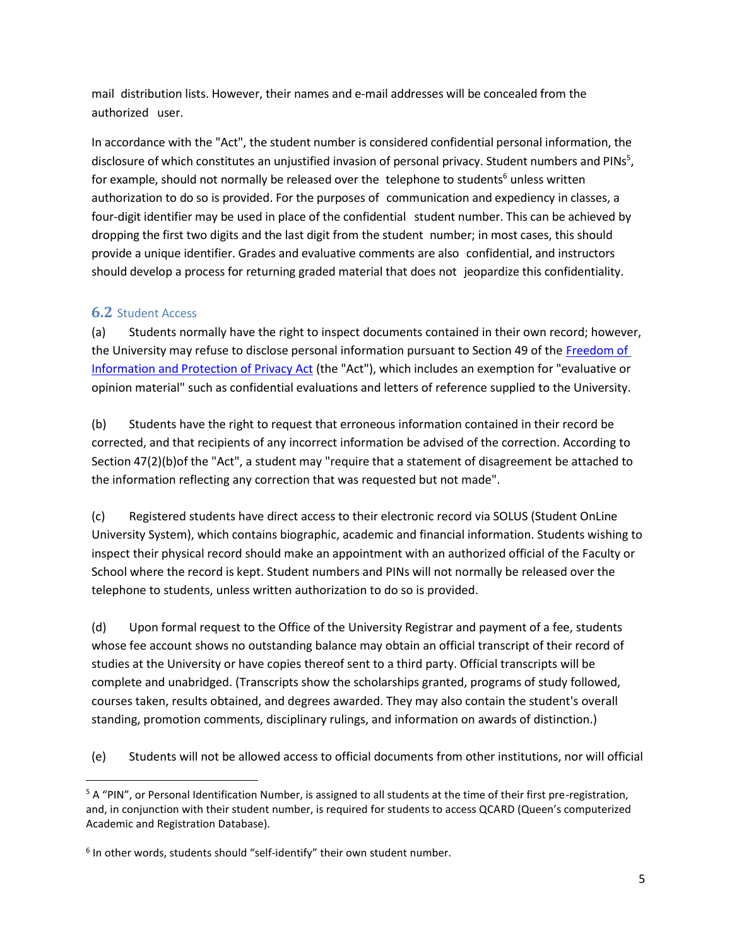mail distribution lists. However, their names and e-mail addresses will be concealed from the authorized user.

In accordance with the "Act", the student number is considered confidential personal information, the disclosure of which constitutes an unjustified invasion of personal privacy. Student numbers and PINs<sup>5</sup>, for example, should not normally be released over the telephone to students<sup>6</sup> unless written authorization to do so is provided. For the purposes of communication and expediency in classes, a four-digit identifier may be used in place of the confidential student number. This can be achieved by dropping the first two digits and the last digit from the student number; in most cases, this should provide a unique identifier. Grades and evaluative comments are also confidential, and instructors should develop a process for returning graded material that does not jeopardize this confidentiality.

#### **6.2** Student Access

l

(a) Students normally have the right to inspect documents contained in their own record; however, the University may refuse to disclose personal information pursuant to Section 49 of the [Freedom of](http://www.ontario.ca/laws/statute/90f31)  [Information and Protection of Privacy Act](http://www.ontario.ca/laws/statute/90f31) (the "Act"), which includes an exemption for "evaluative or opinion material" such as confidential evaluations and letters of reference supplied to the University.

(b) Students have the right to request that erroneous information contained in their record be corrected, and that recipients of any incorrect information be advised of the correction. According to Section 47(2)(b)of the "Act", a student may "require that a statement of disagreement be attached to the information reflecting any correction that was requested but not made".

(c) Registered students have direct access to their electronic record via SOLUS (Student OnLine University System), which contains biographic, academic and financial information. Students wishing to inspect their physical record should make an appointment with an authorized official of the Faculty or School where the record is kept. Student numbers and PINs will not normally be released over the telephone to students, unless written authorization to do so is provided.

(d) Upon formal request to the Office of the University Registrar and payment of a fee, students whose fee account shows no outstanding balance may obtain an official transcript of their record of studies at the University or have copies thereof sent to a third party. Official transcripts will be complete and unabridged. (Transcripts show the scholarships granted, programs of study followed, courses taken, results obtained, and degrees awarded. They may also contain the student's overall standing, promotion comments, disciplinary rulings, and information on awards of distinction.)

(e) Students will not be allowed access to official documents from other institutions, nor will official

 $5$  A "PIN", or Personal Identification Number, is assigned to all students at the time of their first pre-registration, and, in conjunction with their student number, is required for students to access QCARD (Queen's computerized Academic and Registration Database).

<sup>&</sup>lt;sup>6</sup> In other words, students should "self-identify" their own student number.